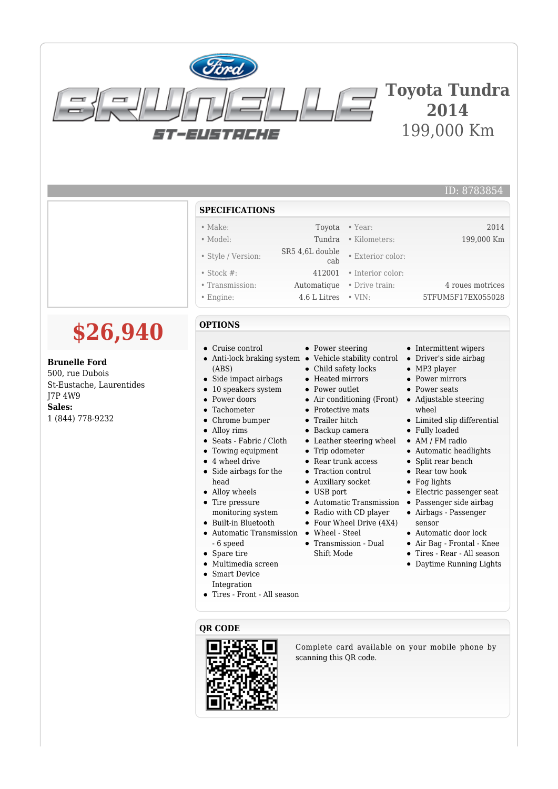| ST-2451:1412 | <b>Toyota Tundra</b><br>2014<br>199,000 Km |
|--------------|--------------------------------------------|

## **SPECIFICATIONS**

- 
- 
- 
- 
- 
- 

## **OPTIONS**

**\$26,940**

**Brunelle Ford** 500, rue Dubois

1 (844) 778-9232

J7P 4W9 **Sales:**

St-Eustache, Laurentides

- Cruise control
- 
- (ABS)
- $\bullet$ Side impact airbags
- 10 speakers system  $\bullet$
- Power doors  $\bullet$
- Tachometer  $\bullet$
- Chrome bumper
- $\bullet$ Alloy rims
- Seats Fabric / Cloth
- Towing equipment  $\bullet$
- 4 wheel drive  $\bullet$
- Side airbags for the  $\bullet$ head
- Alloy wheels
- $\bullet$ Tire pressure
- monitoring system Built-in Bluetooth
- $\bullet$ Automatic Transmission • Wheel - Steel
- Spare tire
- Multimedia screen
- Smart Device  $\bullet$
- Integration
- Tires Front All season

### **QR CODE**



Complete card available on your mobile phone by scanning this QR code.

- Power steering
- Anti-lock braking system Vehicle stability control
	- Child safety locks
	- Heated mirrors
	- Power outlet
	- Air conditioning (Front)
	- Protective mats
	- Trailer hitch
	- Backup camera
	- Leather steering wheel
	- Trip odometer
	- Rear trunk access
	- Traction control
	- Auxiliary socket
	- USB port
	- Automatic Transmission Passenger side airbag
	- Radio with CD player
	- Four Wheel Drive (4X4)
	-
	- Transmission Dual Shift Mode
- Intermittent wipers
- Driver's side airbag
- 
- 
- Adjustable steering wheel
- Limited slip differential
- 
- 
- 
- 
- Rear tow hook
- Fog lights
- Electric passenger seat
- 
- sensor
- 
- 
- 
- 

ID: 8783854

• Make: Toyota • Year: 2014 • Model: Tundra • Kilometers: 199,000 Km • Style / Version: SR5 4,6L double • Exterior color: • Stock #: 412001 • Interior color: • Transmission: Automatique • Drive train: 4 roues motrices

• Engine: 4.6 L Litres • VIN: 5TFUM5F17EX055028

- - -
		- MP3 player

## • Power mirrors



## Fully loaded

• AM / FM radio

## Automatic headlights

- Split rear bench
- 
- 
- 
- Airbags Passenger
- Automatic door lock
- Air Bag Frontal Knee
- Tires Rear All season
- Daytime Running Lights
- 
- 

# - 6 speed